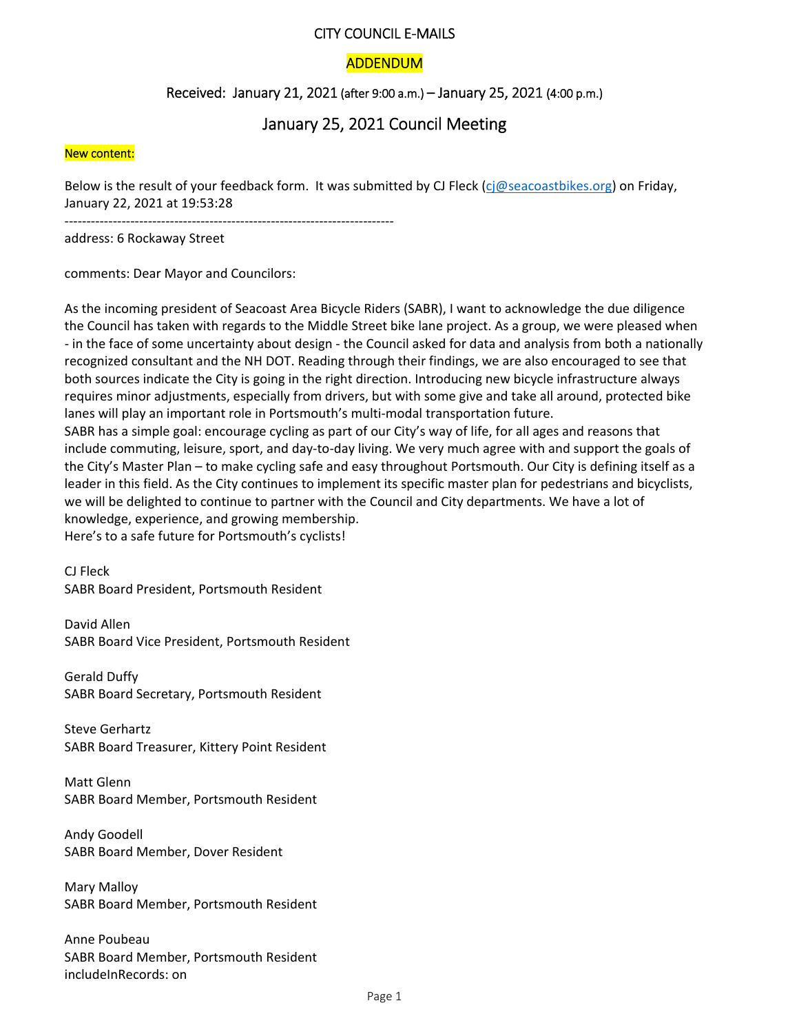## CITY COUNCIL E‐MAILS

# ADDENDUM

# Received: January 21, 2021 (after 9:00 a.m.) – January 25, 2021 (4:00 p.m.)

# January 25, 2021 Council Meeting

#### New content:

Below is the result of your feedback form. It was submitted by CJ Fleck (cj@seacoastbikes.org) on Friday, January 22, 2021 at 19:53:28

‐‐‐‐‐‐‐‐‐‐‐‐‐‐‐‐‐‐‐‐‐‐‐‐‐‐‐‐‐‐‐‐‐‐‐‐‐‐‐‐‐‐‐‐‐‐‐‐‐‐‐‐‐‐‐‐‐‐‐‐‐‐‐‐‐‐‐‐‐‐‐‐‐‐‐

address: 6 Rockaway Street

comments: Dear Mayor and Councilors:

As the incoming president of Seacoast Area Bicycle Riders (SABR), I want to acknowledge the due diligence the Council has taken with regards to the Middle Street bike lane project. As a group, we were pleased when ‐ in the face of some uncertainty about design ‐ the Council asked for data and analysis from both a nationally recognized consultant and the NH DOT. Reading through their findings, we are also encouraged to see that both sources indicate the City is going in the right direction. Introducing new bicycle infrastructure always requires minor adjustments, especially from drivers, but with some give and take all around, protected bike lanes will play an important role in Portsmouth's multi-modal transportation future. SABR has a simple goal: encourage cycling as part of our City's way of life, for all ages and reasons that include commuting, leisure, sport, and day‐to‐day living. We very much agree with and support the goals of the City's Master Plan – to make cycling safe and easy throughout Portsmouth. Our City is defining itself as a leader in this field. As the City continues to implement its specific master plan for pedestrians and bicyclists, we will be delighted to continue to partner with the Council and City departments. We have a lot of knowledge, experience, and growing membership. Here's to a safe future for Portsmouth's cyclists!

CJ Fleck

SABR Board President, Portsmouth Resident

David Allen SABR Board Vice President, Portsmouth Resident

Gerald Duffy SABR Board Secretary, Portsmouth Resident

Steve Gerhartz SABR Board Treasurer, Kittery Point Resident

Matt Glenn SABR Board Member, Portsmouth Resident

Andy Goodell SABR Board Member, Dover Resident

Mary Malloy SABR Board Member, Portsmouth Resident

Anne Poubeau SABR Board Member, Portsmouth Resident includeInRecords: on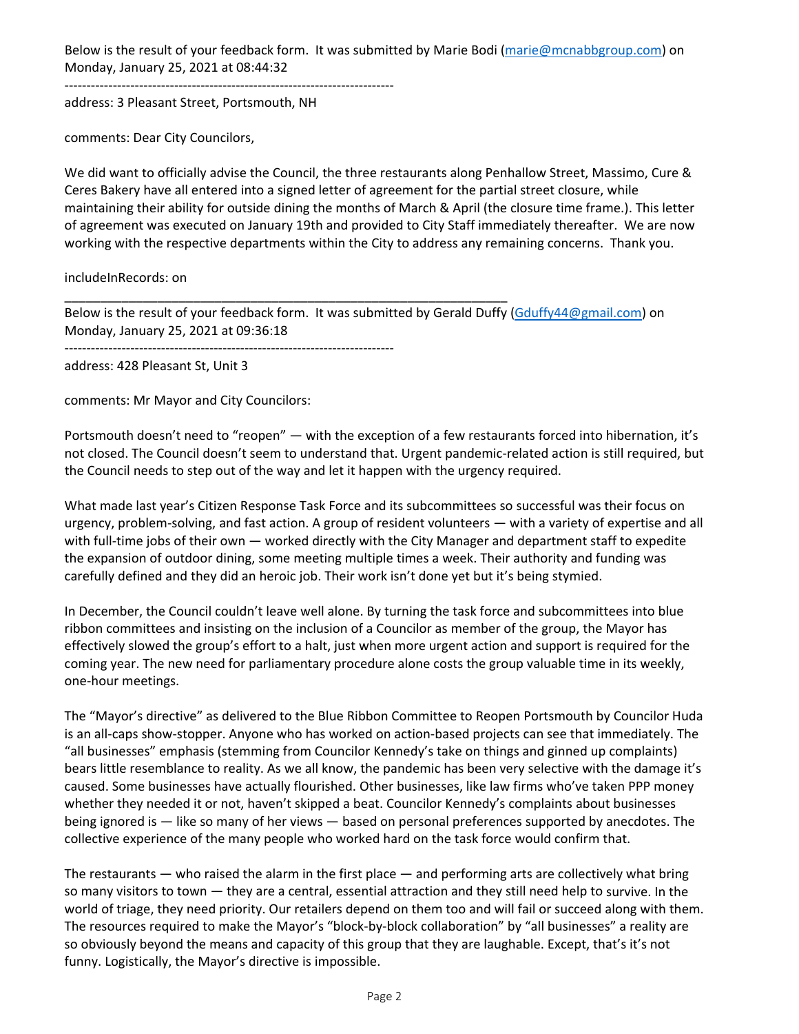Below is the result of your feedback form. It was submitted by Marie Bodi (marie@mcnabbgroup.com) on Monday, January 25, 2021 at 08:44:32

‐‐‐‐‐‐‐‐‐‐‐‐‐‐‐‐‐‐‐‐‐‐‐‐‐‐‐‐‐‐‐‐‐‐‐‐‐‐‐‐‐‐‐‐‐‐‐‐‐‐‐‐‐‐‐‐‐‐‐‐‐‐‐‐‐‐‐‐‐‐‐‐‐‐‐

address: 3 Pleasant Street, Portsmouth, NH

comments: Dear City Councilors,

We did want to officially advise the Council, the three restaurants along Penhallow Street, Massimo, Cure & Ceres Bakery have all entered into a signed letter of agreement for the partial street closure, while maintaining their ability for outside dining the months of March & April (the closure time frame.). This letter of agreement was executed on January 19th and provided to City Staff immediately thereafter. We are now working with the respective departments within the City to address any remaining concerns. Thank you.

includeInRecords: on

Below is the result of your feedback form. It was submitted by Gerald Duffy (Gduffy44@gmail.com) on Monday, January 25, 2021 at 09:36:18

‐‐‐‐‐‐‐‐‐‐‐‐‐‐‐‐‐‐‐‐‐‐‐‐‐‐‐‐‐‐‐‐‐‐‐‐‐‐‐‐‐‐‐‐‐‐‐‐‐‐‐‐‐‐‐‐‐‐‐‐‐‐‐‐‐‐‐‐‐‐‐‐‐‐‐

\_\_\_\_\_\_\_\_\_\_\_\_\_\_\_\_\_\_\_\_\_\_\_\_\_\_\_\_\_\_\_\_\_\_\_\_\_\_\_\_\_\_\_\_\_\_\_\_\_\_\_\_\_\_\_\_\_\_\_\_\_\_

address: 428 Pleasant St, Unit 3

comments: Mr Mayor and City Councilors:

Portsmouth doesn't need to "reopen" — with the exception of a few restaurants forced into hibernation, it's not closed. The Council doesn't seem to understand that. Urgent pandemic‐related action is still required, but the Council needs to step out of the way and let it happen with the urgency required.

What made last year's Citizen Response Task Force and its subcommittees so successful was their focus on urgency, problem‐solving, and fast action. A group of resident volunteers — with a variety of expertise and all with full-time jobs of their own — worked directly with the City Manager and department staff to expedite the expansion of outdoor dining, some meeting multiple times a week. Their authority and funding was carefully defined and they did an heroic job. Their work isn't done yet but it's being stymied.

In December, the Council couldn't leave well alone. By turning the task force and subcommittees into blue ribbon committees and insisting on the inclusion of a Councilor as member of the group, the Mayor has effectively slowed the group's effort to a halt, just when more urgent action and support is required for the coming year. The new need for parliamentary procedure alone costs the group valuable time in its weekly, one‐hour meetings.

The "Mayor's directive" as delivered to the Blue Ribbon Committee to Reopen Portsmouth by Councilor Huda is an all‐caps show‐stopper. Anyone who has worked on action‐based projects can see that immediately. The "all businesses" emphasis (stemming from Councilor Kennedy's take on things and ginned up complaints) bears little resemblance to reality. As we all know, the pandemic has been very selective with the damage it's caused. Some businesses have actually flourished. Other businesses, like law firms who've taken PPP money whether they needed it or not, haven't skipped a beat. Councilor Kennedy's complaints about businesses being ignored is — like so many of her views — based on personal preferences supported by anecdotes. The collective experience of the many people who worked hard on the task force would confirm that.

The restaurants — who raised the alarm in the first place — and performing arts are collectively what bring so many visitors to town — they are a central, essential attraction and they still need help to survive. In the world of triage, they need priority. Our retailers depend on them too and will fail or succeed along with them. The resources required to make the Mayor's "block‐by‐block collaboration" by "all businesses" a reality are so obviously beyond the means and capacity of this group that they are laughable. Except, that's it's not funny. Logistically, the Mayor's directive is impossible.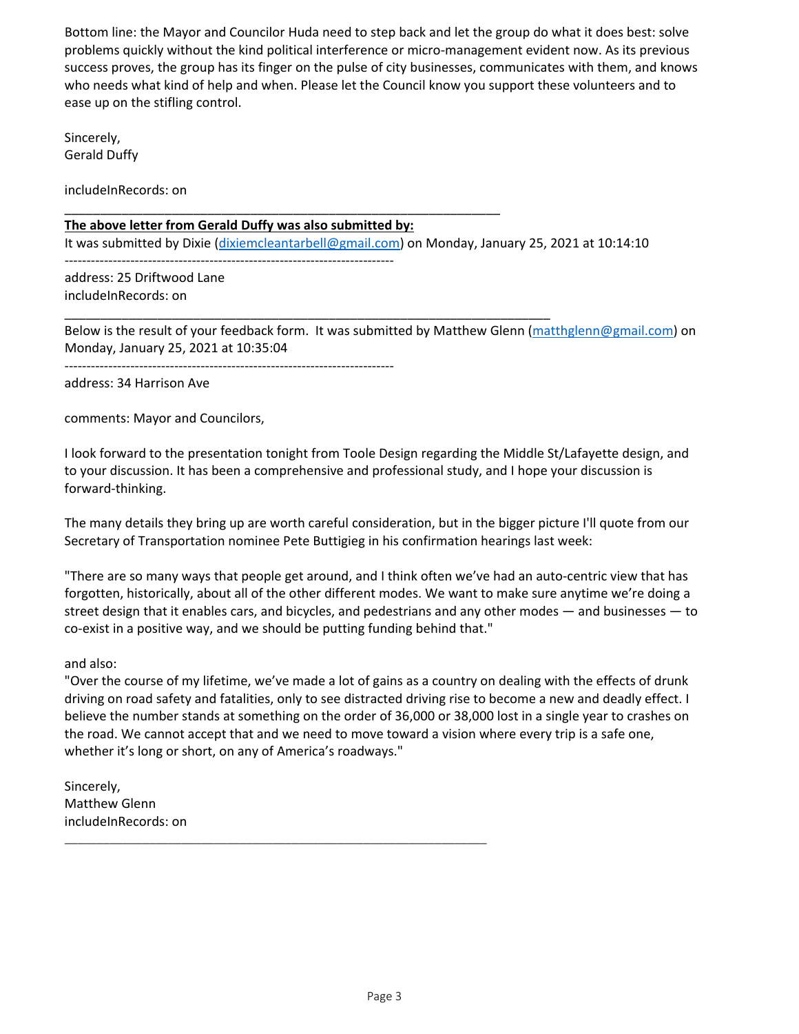Bottom line: the Mayor and Councilor Huda need to step back and let the group do what it does best: solve problems quickly without the kind political interference or micro‐management evident now. As its previous success proves, the group has its finger on the pulse of city businesses, communicates with them, and knows who needs what kind of help and when. Please let the Council know you support these volunteers and to ease up on the stifling control.

Sincerely, Gerald Duffy

includeInRecords: on

## **The above letter from Gerald Duffy was also submitted by:**

\_\_\_\_\_\_\_\_\_\_\_\_\_\_\_\_\_\_\_\_\_\_\_\_\_\_\_\_\_\_\_\_\_\_\_\_\_\_\_\_\_\_\_\_\_\_\_\_\_\_\_\_\_\_\_\_\_\_\_\_\_

\_\_\_\_\_\_\_\_\_\_\_\_\_\_\_\_\_\_\_\_\_\_\_\_\_\_\_\_\_\_\_\_\_\_\_\_\_\_\_\_\_\_\_\_\_\_\_\_\_\_\_\_\_\_\_\_\_\_\_\_\_\_\_\_\_\_\_\_

It was submitted by Dixie (dixiemcleantarbell@gmail.com) on Monday, January 25, 2021 at 10:14:10

‐‐‐‐‐‐‐‐‐‐‐‐‐‐‐‐‐‐‐‐‐‐‐‐‐‐‐‐‐‐‐‐‐‐‐‐‐‐‐‐‐‐‐‐‐‐‐‐‐‐‐‐‐‐‐‐‐‐‐‐‐‐‐‐‐‐‐‐‐‐‐‐‐‐‐

address: 25 Driftwood Lane includeInRecords: on

Below is the result of your feedback form. It was submitted by Matthew Glenn (matthglenn@gmail.com) on Monday, January 25, 2021 at 10:35:04

‐‐‐‐‐‐‐‐‐‐‐‐‐‐‐‐‐‐‐‐‐‐‐‐‐‐‐‐‐‐‐‐‐‐‐‐‐‐‐‐‐‐‐‐‐‐‐‐‐‐‐‐‐‐‐‐‐‐‐‐‐‐‐‐‐‐‐‐‐‐‐‐‐‐‐

address: 34 Harrison Ave

comments: Mayor and Councilors,

I look forward to the presentation tonight from Toole Design regarding the Middle St/Lafayette design, and to your discussion. It has been a comprehensive and professional study, and I hope your discussion is forward‐thinking.

The many details they bring up are worth careful consideration, but in the bigger picture I'll quote from our Secretary of Transportation nominee Pete Buttigieg in his confirmation hearings last week:

"There are so many ways that people get around, and I think often we've had an auto‐centric view that has forgotten, historically, about all of the other different modes. We want to make sure anytime we're doing a street design that it enables cars, and bicycles, and pedestrians and any other modes — and businesses — to co‐exist in a positive way, and we should be putting funding behind that."

and also:

"Over the course of my lifetime, we've made a lot of gains as a country on dealing with the effects of drunk driving on road safety and fatalities, only to see distracted driving rise to become a new and deadly effect. I believe the number stands at something on the order of 36,000 or 38,000 lost in a single year to crashes on the road. We cannot accept that and we need to move toward a vision where every trip is a safe one, whether it's long or short, on any of America's roadways."

\_\_\_\_\_\_\_\_\_\_\_\_\_\_\_\_\_\_\_\_\_\_\_\_\_\_\_\_\_\_\_\_\_\_\_\_\_\_\_\_\_\_\_\_\_\_\_\_\_\_\_\_\_\_\_\_\_\_\_\_\_\_\_\_\_

Sincerely, Matthew Glenn includeInRecords: on